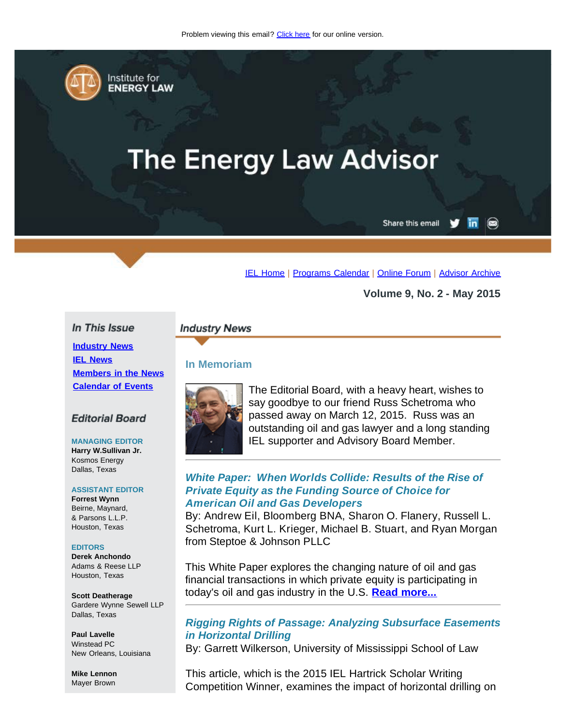<span id="page-0-0"></span>

Institute for **ENERGY LAW** 

# **The Energy Law Advisor**

Share this email in

[IEL Home](http://www.cailaw.org/institute-for-energy-law/index.html?utm_source=Informz&utm_medium=Email&utm_campaign=Event+Details) | [Programs Calendar](http://www.cailaw.org/institute-for-energy-law/programs-calendar.html?utm_source=Informz&utm_medium=Email&utm_campaign=Event+Details) | [Online Forum](https://www.linkedin.com/groups?gid=2330688&trk=myg_ugrp_ovr) | [Advisor Archive](http://www.cailaw.org/institute-for-energy-law/publications/energy-law-advisor.html?utm_source=Informz&utm_medium=Email&utm_campaign=Event+Details)

**Volume 9, No. 2 - May 2015**

## In This Issue

**[Industry News](#page-0-0) [IEL News](#page-0-0) [Members in the News](#page-0-0) [Calendar of Events](#page-0-0)**

## **Editorial Board**

**MANAGING EDITOR Harry W.Sullivan Jr.** Kosmos Energy Dallas, Texas

#### **ASSISTANT EDITOR**

**Forrest Wynn** Beirne, Maynard, & Parsons L.L.P. Houston, Texas

#### **EDITORS**

**Derek Anchondo** Adams & Reese LLP Houston, Texas

**Scott Deatherage** Gardere Wynne Sewell LLP Dallas, Texas

**Paul Lavelle** Winstead PC New Orleans, Louisiana

**Mike Lennon** Mayer Brown

#### **Industry News**

## **In Memoriam**



The Editorial Board, with a heavy heart, wishes to say goodbye to our friend Russ Schetroma who passed away on March 12, 2015. Russ was an outstanding oil and gas lawyer and a long standing IEL supporter and Advisory Board Member.

## *White Paper: When Worlds Collide: Results of the Rise of Private Equity as the Funding Source of Choice for American Oil and Gas Developers*

By: Andrew Eil, Bloomberg BNA, Sharon O. Flanery, Russell L. Schetroma, Kurt L. Krieger, Michael B. Stuart, and Ryan Morgan from Steptoe & Johnson PLLC

This White Paper explores the changing nature of oil and gas financial transactions in which private equity is participating in today's oil and gas industry in the U.S. **[Read more...](http://www.cailaw.org/media/files/IEL/Publications/2015/worlds-collide-vol9no2.pdf)**

# *Rigging Rights of Passage: Analyzing Subsurface Easements in Horizontal Drilling*

By: Garrett Wilkerson, University of Mississippi School of Law

This article, which is the 2015 IEL Hartrick Scholar Writing Competition Winner, examines the impact of horizontal drilling on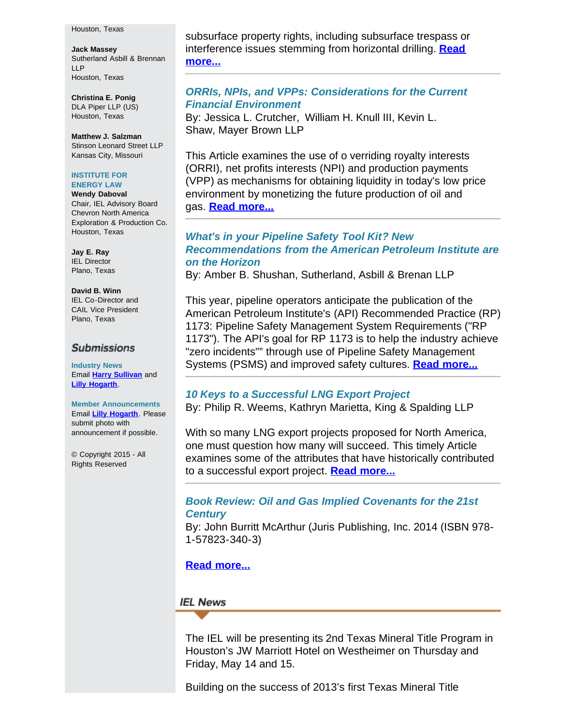#### Houston, Texas

**Jack Massey** Sutherland Asbill & Brennan LLP Houston, Texas

**Christina E. Ponig** DLA Piper LLP (US) Houston, Texas

**Matthew J. Salzman** Stinson Leonard Street LLP Kansas City, Missouri

#### **INSTITUTE FOR ENERGY LAW**

**Wendy Daboval** Chair, IEL Advisory Board Chevron North America Exploration & Production Co. Houston, Texas

**Jay E. Ray** IEL Director Plano, Texas

**David B. Winn** IEL Co-Director and CAIL Vice President Plano, Texas

### **Submissions**

**Industry News** Email **[Harry Sullivan](mailto:harry.w.sullivan@conocophillips.com)** and **[Lilly Hogarth](mailto:lhogarth@cailaw.org)**.

**Member Announcements** Email **[Lilly Hogarth](mailto:lhogarth@cailaw.org)**. Please submit photo with announcement if possible.

© Copyright 2015 - All Rights Reserved

subsurface property rights, including subsurface trespass or interference issues stemming from horizontal drilling. **[Read](http://www.cailaw.org/media/files/IEL/Publications/2015/rigging-rights-vol9no2.pdf) [more...](http://www.cailaw.org/media/files/IEL/Publications/2015/rigging-rights-vol9no2.pdf)**

## *ORRIs, NPIs, and VPPs: Considerations for the Current Financial Environment*

By: Jessica L. Crutcher, William H. Knull III, Kevin L. Shaw, Mayer Brown LLP

This Article examines the use of o verriding royalty interests (ORRI), net profits interests (NPI) and production payments (VPP) as mechanisms for obtaining liquidity in today's low price environment by monetizing the future production of oil and gas. **[Read more...](http://www.cailaw.org/media/files/IEL/Publications/2015/orri-vol9no2.pdf)**

# *What's in your Pipeline Safety Tool Kit? New Recommendations from the American Petroleum Institute are on the Horizon*

By: Amber B. Shushan, Sutherland, Asbill & Brenan LLP

This year, pipeline operators anticipate the publication of the American Petroleum Institute's (API) Recommended Practice (RP) 1173: Pipeline Safety Management System Requirements ("RP 1173"). The API's goal for RP 1173 is to help the industry achieve "zero incidents"" through use of Pipeline Safety Management Systems (PSMS) and improved safety cultures. **[Read more...](http://www.cailaw.org/media/files/IEL/Publications/2015/pipeline-saftey-vol9no2.pdf)**

## *10 Keys to a Successful LNG Export Project*

By: Philip R. Weems, Kathryn Marietta, King & Spalding LLP

With so many LNG export projects proposed for North America, one must question how many will succeed. This timely Article examines some of the attributes that have historically contributed to a successful export project. **[Read more...](http://www.cailaw.org/media/files/IEL/Publications/2015/lng-vol9no2.pdf)**

# *Book Review: Oil and Gas Implied Covenants for the 21st Century*

By: John Burritt McArthur (Juris Publishing, Inc. 2014 (ISBN 978- 1-57823-340-3)

# **[Read more...](http://www.cailaw.org/media/files/IEL/Publications/2015/review-og-vol9no2.pdf)**

## **IEL News**

The IEL will be presenting its 2nd Texas Mineral Title Program in Houston's JW Marriott Hotel on Westheimer on Thursday and Friday, May 14 and 15.

Building on the success of 2013's first Texas Mineral Title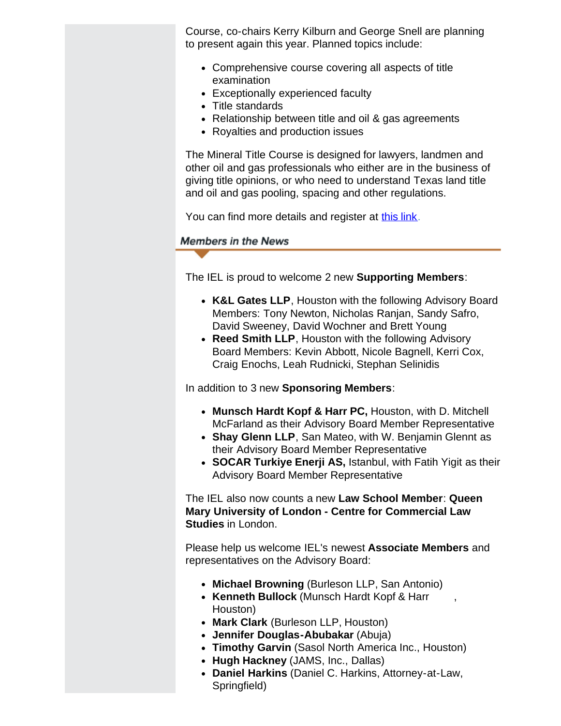Course, co-chairs Kerry Kilburn and George Snell are planning to present again this year. Planned topics include:

- Comprehensive course covering all aspects of title examination
- Exceptionally experienced faculty
- Title standards
- Relationship between title and oil & gas agreements
- Royalties and production issues

The Mineral Title Course is designed for lawyers, landmen and other oil and gas professionals who either are in the business of giving title opinions, or who need to understand Texas land title and oil and gas pooling, spacing and other regulations.

You can find more details and register at [this link](http://www.cailaw.org/institute-for-energy-law/events/2015/mineral-title.html?utm_source=Informz&utm_medium=Email&utm_campaign=Event+Details).

# **Members in the News**

The IEL is proud to welcome 2 new **Supporting Members**:

- **K&L Gates LLP**, Houston with the following Advisory Board Members: Tony Newton, Nicholas Ranjan, Sandy Safro, David Sweeney, David Wochner and Brett Young
- Reed Smith LLP, Houston with the following Advisory Board Members: Kevin Abbott, Nicole Bagnell, Kerri Cox, Craig Enochs, Leah Rudnicki, Stephan Selinidis

In addition to 3 new **Sponsoring Members**:

- **Munsch Hardt Kopf & Harr PC,** Houston, with D. Mitchell McFarland as their Advisory Board Member Representative
- **Shay Glenn LLP**, San Mateo, with W. Benjamin Glennt as their Advisory Board Member Representative
- **SOCAR Turkiye Enerji AS,** Istanbul, with Fatih Yigit as their Advisory Board Member Representative

The IEL also now counts a new **Law School Member**: **Queen Mary University of London - Centre for Commercial Law Studies** in London.

Please help us welcome IEL's newest **Associate Members** and representatives on the Advisory Board:

- **Michael Browning** (Burleson LLP, San Antonio)
- **Kenneth Bullock** (Munsch Hardt Kopf & Harr , Houston)
- **Mark Clark** (Burleson LLP, Houston)
- **Jennifer Douglas-Abubakar** (Abuja)
- **Timothy Garvin** (Sasol North America Inc., Houston)
- **Hugh Hackney** (JAMS, Inc., Dallas)
- **Daniel Harkins** (Daniel C. Harkins, Attorney-at-Law, Springfield)